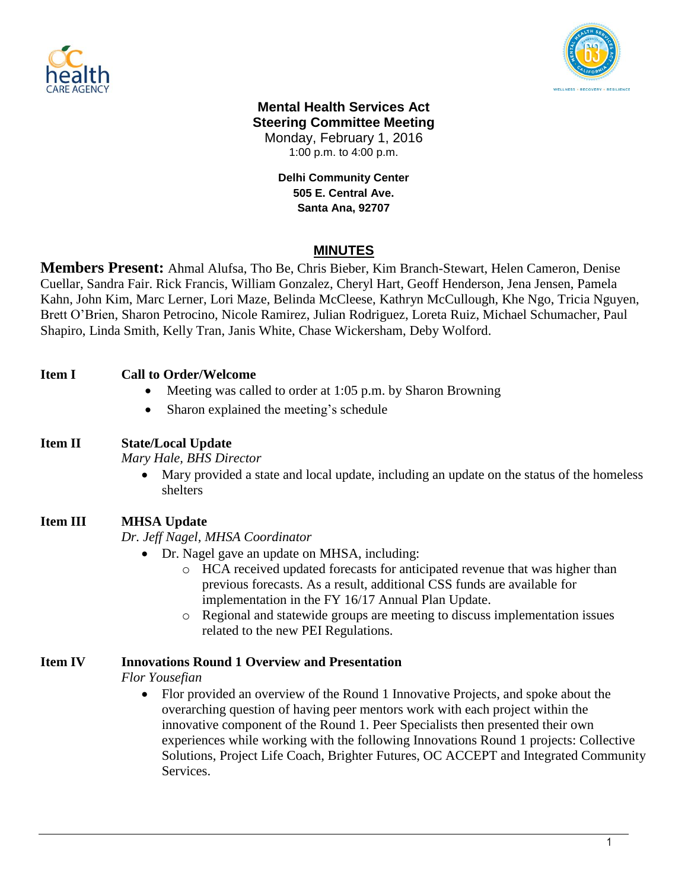



#### **Mental Health Services Act Steering Committee Meeting** Monday, February 1, 2016

1:00 p.m. to 4:00 p.m.

**Delhi Community Center 505 E. Central Ave. Santa Ana, 92707**

## **MINUTES**

**Members Present:** Ahmal Alufsa, Tho Be, Chris Bieber, Kim Branch-Stewart, Helen Cameron, Denise Cuellar, Sandra Fair. Rick Francis, William Gonzalez, Cheryl Hart, Geoff Henderson, Jena Jensen, Pamela Kahn, John Kim, Marc Lerner, Lori Maze, Belinda McCleese, Kathryn McCullough, Khe Ngo, Tricia Nguyen, Brett O'Brien, Sharon Petrocino, Nicole Ramirez, Julian Rodriguez, Loreta Ruiz, Michael Schumacher, Paul Shapiro, Linda Smith, Kelly Tran, Janis White, Chase Wickersham, Deby Wolford.

### **Item I Call to Order/Welcome**

- Meeting was called to order at 1:05 p.m. by Sharon Browning
- Sharon explained the meeting's schedule

### **Item II State/Local Update**

*Mary Hale, BHS Director*

 Mary provided a state and local update, including an update on the status of the homeless shelters

### **Item III MHSA Update**

*Dr. Jeff Nagel, MHSA Coordinator*

- Dr. Nagel gave an update on MHSA, including:
	- o HCA received updated forecasts for anticipated revenue that was higher than previous forecasts. As a result, additional CSS funds are available for implementation in the FY 16/17 Annual Plan Update.
	- o Regional and statewide groups are meeting to discuss implementation issues related to the new PEI Regulations.

### **Item IV Innovations Round 1 Overview and Presentation**

*Flor Yousefian*

 Flor provided an overview of the Round 1 Innovative Projects, and spoke about the overarching question of having peer mentors work with each project within the innovative component of the Round 1. Peer Specialists then presented their own experiences while working with the following Innovations Round 1 projects: Collective Solutions, Project Life Coach, Brighter Futures, OC ACCEPT and Integrated Community Services.